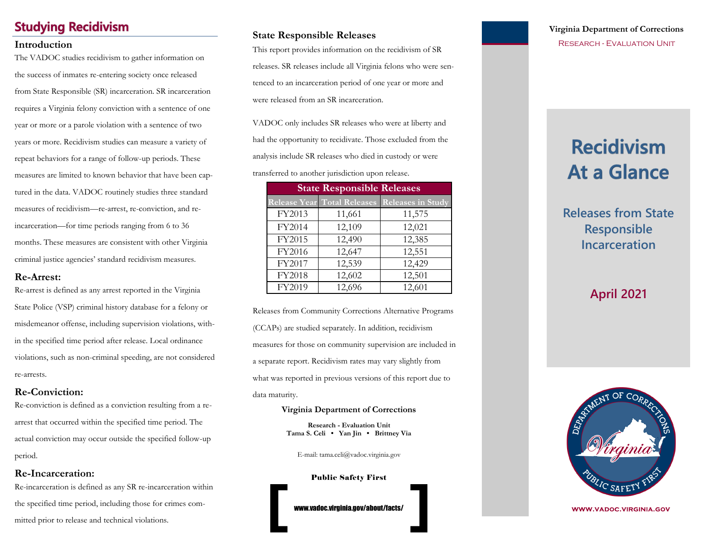## **Studying Recidivism**

The VADOC studies recidivism to gather information on the success of inmates re-entering society once released from State Responsible (SR) incarceration. SR incarceration requires a Virginia felony conviction with a sentence of one year or more or a parole violation with a sentence of two years or more. Recidivism studies can measure a variety of repeat behaviors for a range of follow-up periods. These measures are limited to known behavior that have been captured in the data. VADOC routinely studies three standard measures of recidivism—re-arrest, re-conviction, and reincarceration—for time periods ranging from 6 to 36 months. These measures are consistent with other Virginia criminal justice agencies' standard recidivism measures.

#### **Re-Arrest:**

Re-arrest is defined as any arrest reported in the Virginia State Police (VSP) criminal history database for a felony or misdemeanor offense, including supervision violations, within the specified time period after release. Local ordinance violations, such as non-criminal speeding, are not considered re-arrests.

### **Re-Conviction:**

Re-conviction is defined as a conviction resulting from a rearrest that occurred within the specified time period. The actual conviction may occur outside the specified follow-up period.

### **Re-Incarceration:**

Re-incarceration is defined as any SR re-incarceration within the specified time period, including those for crimes committed prior to release and technical violations.

### **State Responsible Releases**

**Introduction**<br>
This report provides information on the recidivism of SR RESEARCH - EVALUATION UNIT releases. SR releases include all Virginia felons who were sentenced to an incarceration period of one year or more and were released from an SR incarceration.

> VADOC only includes SR releases who were at liberty and had the opportunity to recidivate. Those excluded from the analysis include SR releases who died in custody or were

transferred to another jurisdiction upon release.

| <b>State Responsible Releases</b> |        |                                               |  |  |  |
|-----------------------------------|--------|-----------------------------------------------|--|--|--|
|                                   |        | Release Year Total Releases Releases in Study |  |  |  |
| FY2013                            | 11,661 | 11,575                                        |  |  |  |
| FY2014                            | 12,109 | 12,021                                        |  |  |  |
| FY2015                            | 12,490 | 12,385                                        |  |  |  |
| FY2016                            | 12,647 | 12,551                                        |  |  |  |
| FY2017                            | 12,539 | 12,429                                        |  |  |  |
| FY2018                            | 12,602 | 12,501                                        |  |  |  |
| FY2019                            | 12,696 | 12,601                                        |  |  |  |

Releases from Community Corrections Alternative Programs (CCAPs) are studied separately. In addition, recidivism measures for those on community supervision are included in a separate report. Recidivism rates may vary slightly from what was reported in previous versions of this report due to data maturity.

#### **Virginia Department of Corrections**

**Research - Evaluation Unit Tama S. Celi • Yan Jin • Brittney Via** 

E-mail: tama.celi@vadoc.virginia.gov

Public Safety First

www.vadoc.virginia.gov/about/facts/

# **Virginia Department of Corrections**

# **Recidivism At a Glance**

**Releases from State Responsible Incarceration**

# **April 2021**



**WWW.VADOC.VIRGINIA.GOV**